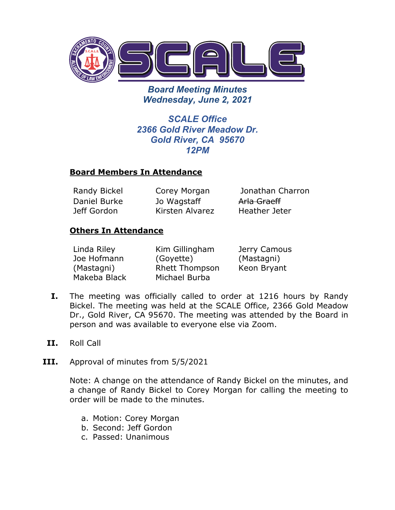

*Board Meeting Minutes Wednesday, June 2, 2021*

*SCALE Office 2366 Gold River Meadow Dr. Gold River, CA 95670 12PM*

## **Board Members In Attendance**

Daniel Burke Jeff Gordon

Jo Wagstaff Kirsten Alvarez

Randy Bickel Corey Morgan Jonathan Charron Arla Graeff Heather Jeter

## **Others In Attendance**

| Linda Riley  | Kim Gillingham        | Jerry Camous |
|--------------|-----------------------|--------------|
| Joe Hofmann  | (Goyette)             | (Mastagni)   |
| (Mastagni)   | <b>Rhett Thompson</b> | Keon Bryant  |
| Makeba Black | Michael Burba         |              |

- **I.** The meeting was officially called to order at 1216 hours by Randy Bickel. The meeting was held at the SCALE Office, 2366 Gold Meadow Dr., Gold River, CA 95670. The meeting was attended by the Board in person and was available to everyone else via Zoom.
- **II.** Roll Call
- **III.** Approval of minutes from 5/5/2021

Note: A change on the attendance of Randy Bickel on the minutes, and a change of Randy Bickel to Corey Morgan for calling the meeting to order will be made to the minutes.

- a. Motion: Corey Morgan
- b. Second: Jeff Gordon
- c. Passed: Unanimous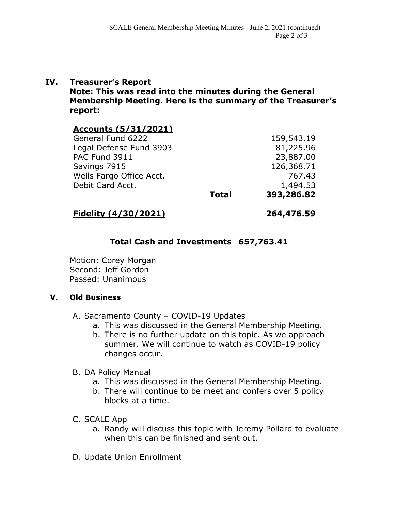# **IV. Treasurer's Report**

**Note: This was read into the minutes during the General Membership Meeting. Here is the summary of the Treasurer's report:**

# **Accounts (5/31/2021)**

| 81,225.96<br>23,887.00 |
|------------------------|
|                        |
|                        |
| 126,368.71             |
| 767.43                 |
| 1,494.53               |
| 393,286.82             |
|                        |

**Fidelity (4/30/2021) 264,476.59**

# **Total Cash and Investments 657,763.41**

Motion: Corey Morgan Second: Jeff Gordon Passed: Unanimous

### **V. Old Business**

- A. Sacramento County COVID-19 Updates
	- a. This was discussed in the General Membership Meeting.
	- b. There is no further update on this topic. As we approach summer. We will continue to watch as COVID-19 policy changes occur.
- B. DA Policy Manual
	- a. This was discussed in the General Membership Meeting.
	- b. There will continue to be meet and confers over 5 policy blocks at a time.
- C. SCALE App
	- a. Randy will discuss this topic with Jeremy Pollard to evaluate when this can be finished and sent out.
- D. Update Union Enrollment